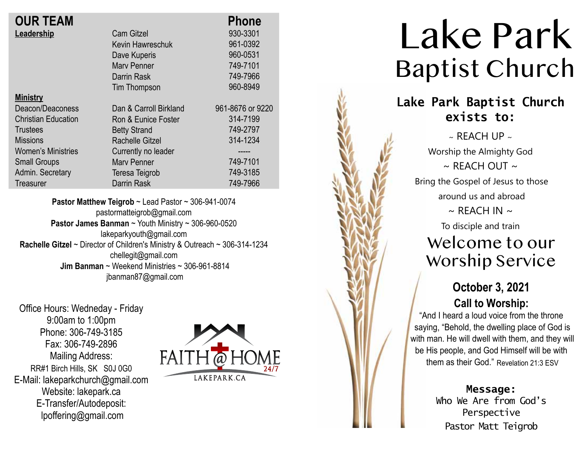| <b>Phone</b>                               |
|--------------------------------------------|
| 930-3301                                   |
| 961-0392<br>Kevin Hawreschuk               |
| 960-0531                                   |
| 749-7101                                   |
| 749-7966                                   |
| 960-8949                                   |
|                                            |
| 961-8676 or 9220<br>Dan & Carroll Birkland |
| 314-7199<br>Ron & Eunice Foster            |
| 749-2797                                   |
| 314-1234                                   |
| Currently no leader<br>-----               |
| 749-7101                                   |
| 749-3185                                   |
| 749-7966                                   |
|                                            |

**Pastor Matthew Teigrob** ~ Lead Pastor ~ 306-941-0074 pastormatteigrob@gmail.com **Pastor James Banman** ~ Youth Ministry ~ 306-960-0520 lakeparkyouth@gmail.com **Rachelle Gitzel** ~ Director of Children's Ministry & Outreach ~ 306-314-1234 chellegit@gmail.com  **Jim Banman** ~ Weekend Ministries ~ 306-961-8814 jbanman87@gmail.com

Office Hours: Wedneday - Friday 9:00am to 1:00pm Phone: 306-749-3185 Fax: 306-749-2896 Mailing Address: RR#1 Birch Hills, SK S0J 0G0 E-Mail: lakeparkchurch@gmail.com Website: lakepark.ca E-Transfer/Autodeposit: lpoffering@gmail.com



# Lake Park Baptist Church

## **Lake Park Baptist Church exists to:**

 $\sim$  REACH UP  $\sim$ Worship the Almighty God  $\sim$  RFACH OUT  $\sim$ Bring the Gospel of Jesus to those around us and abroad  $\sim$  REACH IN  $\sim$ To disciple and train

## Welcome to our Worship Service

### **October 3, 2021 Call to Worship:**

"And I heard a loud voice from the throne saying, "Behold, the dwelling place of God is with man. He will dwell with them, and they will be His people, and God Himself will be with them as their God." Revelation 21:3 ESV

> **Message:** Who We Are from God's Perspective Pastor Matt Teigrob